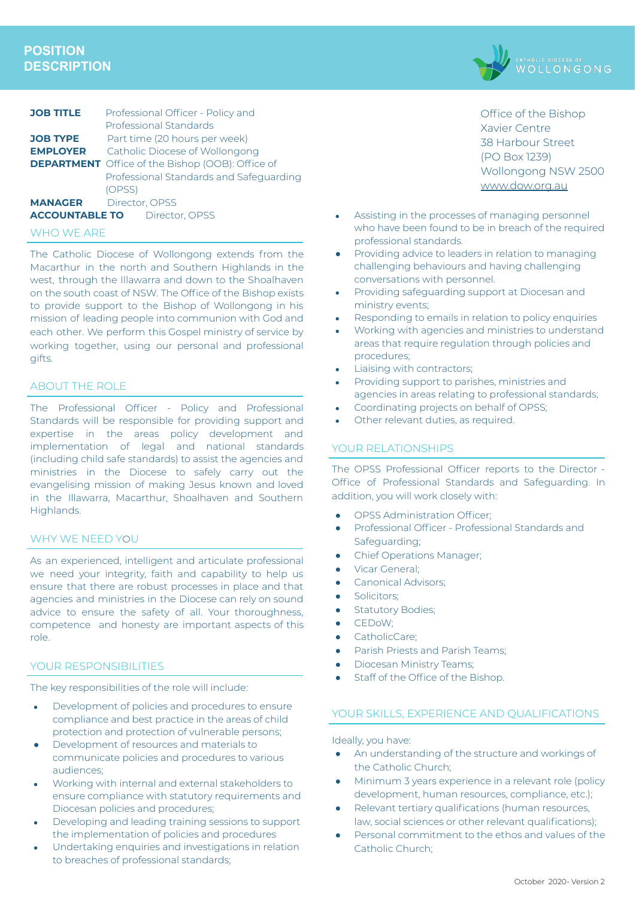# **POSITION DESCRIPTION**



## WHO WE ARE

The Catholic Diocese of Wollongong extends from the Macarthur in the north and Southern Highlands in the west, through the Illawarra and down to the Shoalhaven on the south coast of NSW. The Office of the Bishop exists to provide support to the Bishop of Wollongong in his mission of leading people into communion with God and each other. We perform this Gospel ministry of service by working together, using our personal and professional gifts.

## ABOUT THE ROLE

The Professional Officer - Policy and Professional Standards will be responsible for providing support and expertise in the areas policy development and implementation of legal and national standards (including child safe standards) to assist the agencies and ministries in the Diocese to safely carry out the evangelising mission of making Jesus known and loved in the Illawarra, Macarthur, Shoalhaven and Southern Highlands.

### WHY WE NEED YOU

As an experienced, intelligent and articulate professional we need your integrity, faith and capability to help us ensure that there are robust processes in place and that agencies and ministries in the Diocese can rely on sound advice to ensure the safety of all. Your thoroughness, competence and honesty are important aspects of this role.

#### YOUR RESPONSIBILITIES

The key responsibilities of the role will include:

- Development of policies and procedures to ensure compliance and best practice in the areas of child protection and protection of vulnerable persons;
- Development of resources and materials to communicate policies and procedures to various audiences;
- Working with internal and external stakeholders to ensure compliance with statutory requirements and Diocesan policies and procedures;
- Developing and leading training sessions to support the implementation of policies and procedures
- Undertaking enquiries and investigations in relation to breaches of professional standards;



Office of the Bishop Xavier Centre 38 Harbour Street (PO Box 1239) Wollongong NSW 2500 [www.dow.org.au](http://www.dow.org.a/)

- Assisting in the processes of managing personnel who have been found to be in breach of the required professional standards.
- Providing advice to leaders in relation to managing challenging behaviours and having challenging conversations with personnel.
- Providing safeguarding support at Diocesan and ministry events;
- Responding to emails in relation to policy enquiries
- Working with agencies and ministries to understand areas that require regulation through policies and procedures;
- Liaising with contractors;
- Providing support to parishes, ministries and agencies in areas relating to professional standards;
- Coordinating projects on behalf of OPSS;
- Other relevant duties, as required.

## YOUR RELATIONSHIPS

The OPSS Professional Officer reports to the Director - Office of Professional Standards and Safeguarding. In addition, you will work closely with:

- OPSS Administration Officer;
- Professional Officer Professional Standards and Safeguarding;
- Chief Operations Manager;
- Vicar General:
- Canonical Advisors;
- Solicitors:
- **Statutory Bodies;**
- CEDoW;
- CatholicCare;
- Parish Priests and Parish Teams;
- Diocesan Ministry Teams;
- Staff of the Office of the Bishop.

### YOUR SKILLS, EXPERIENCE AND QUALIFICATIONS

Ideally, you have:

- An understanding of the structure and workings of the Catholic Church;
- Minimum 3 years experience in a relevant role (policy development, human resources, compliance, etc.);
- Relevant tertiary qualifications (human resources, law, social sciences or other relevant qualifications);
- Personal commitment to the ethos and values of the Catholic Church;